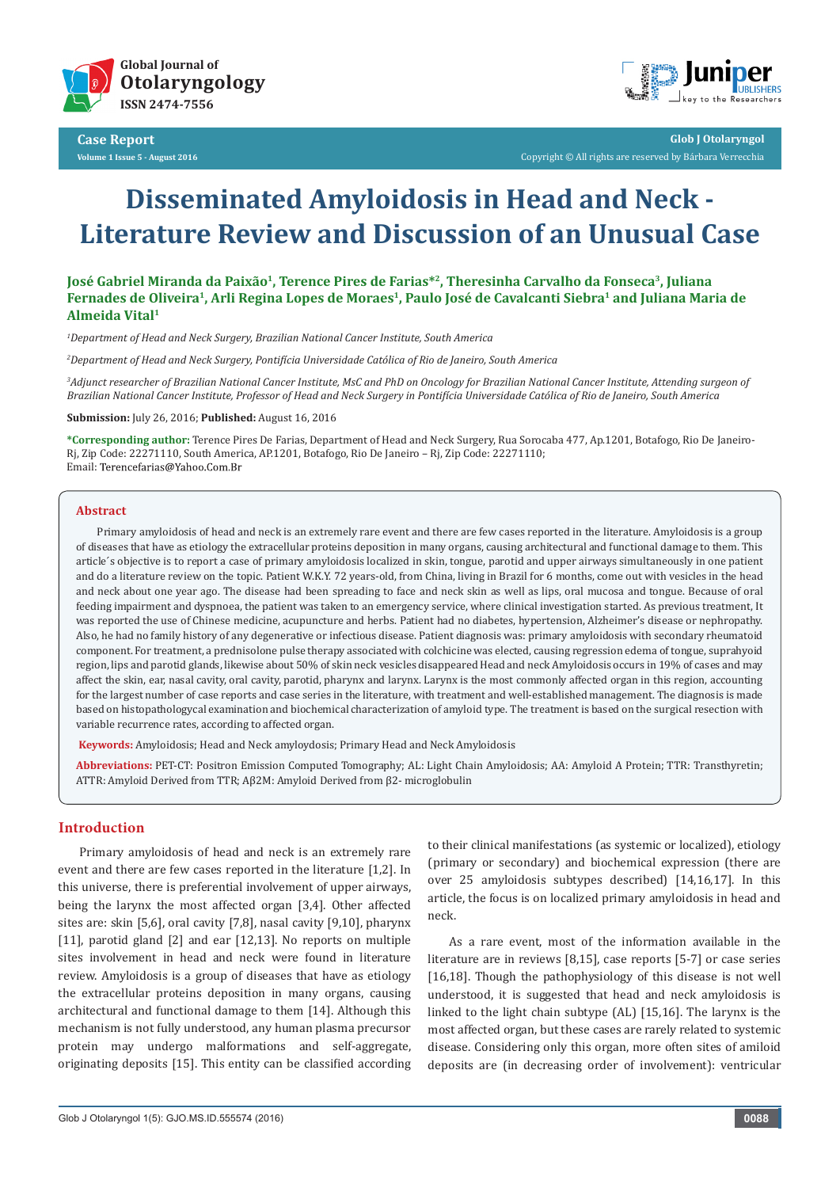



**Glob J Otolaryngol** Copyright © All rights are reserved by Bárbara Verrecchia

# **Disseminated Amyloidosis in Head and Neck - Literature Review and Discussion of an Unusual Case**

# **José Gabriel Miranda da Paixão1, Terence Pires de Farias\*2, Theresinha Carvalho da Fonseca3, Juliana**  Fernades de Oliveira<sup>1</sup>, Arli Regina Lopes de Moraes<sup>1</sup>, Paulo José de Cavalcanti Siebra<sup>1</sup> and Juliana Maria de **Almeida Vital1**

*1 Department of Head and Neck Surgery, Brazilian National Cancer Institute, South America*

*2 Department of Head and Neck Surgery, Pontifícia Universidade Católica of Rio de Janeiro, South America*

*3 Adjunct researcher of Brazilian National Cancer Institute, MsC and PhD on Oncology for Brazilian National Cancer Institute, Attending surgeon of Brazilian National Cancer Institute, Professor of Head and Neck Surgery in Pontifícia Universidade Católica of Rio de Janeiro, South America*

**Submission:** July 26, 2016; **Published:** August 16, 2016

**\*Corresponding author:** Terence Pires De Farias, Department of Head and Neck Surgery, Rua Sorocaba 477, Ap.1201, Botafogo, Rio De Janeiro-Rj, Zip Code: 22271110, South America, AP.1201, Botafogo, Rio De Janeiro – Rj, Zip Code: 22271110; Email: Terencefarias@Yahoo.Com.Br

#### **Abstract**

Primary amyloidosis of head and neck is an extremely rare event and there are few cases reported in the literature. Amyloidosis is a group of diseases that have as etiology the extracellular proteins deposition in many organs, causing architectural and functional damage to them. This article´s objective is to report a case of primary amyloidosis localized in skin, tongue, parotid and upper airways simultaneously in one patient and do a literature review on the topic. Patient W.K.Y. 72 years-old, from China, living in Brazil for 6 months, come out with vesicles in the head and neck about one year ago. The disease had been spreading to face and neck skin as well as lips, oral mucosa and tongue. Because of oral feeding impairment and dyspnoea, the patient was taken to an emergency service, where clinical investigation started. As previous treatment, It was reported the use of Chinese medicine, acupuncture and herbs. Patient had no diabetes, hypertension, Alzheimer's disease or nephropathy. Also, he had no family history of any degenerative or infectious disease. Patient diagnosis was: primary amyloidosis with secondary rheumatoid component. For treatment, a prednisolone pulse therapy associated with colchicine was elected, causing regression edema of tongue, suprahyoid region, lips and parotid glands, likewise about 50% of skin neck vesicles disappeared Head and neck Amyloidosis occurs in 19% of cases and may affect the skin, ear, nasal cavity, oral cavity, parotid, pharynx and larynx. Larynx is the most commonly affected organ in this region, accounting for the largest number of case reports and case series in the literature, with treatment and well-established management. The diagnosis is made based on histopathologycal examination and biochemical characterization of amyloid type. The treatment is based on the surgical resection with variable recurrence rates, according to affected organ.

**Keywords:** Amyloidosis; Head and Neck amyloydosis; Primary Head and Neck Amyloidosis

**Abbreviations:** PET-CT: Positron Emission Computed Tomography; AL: Light Chain Amyloidosis; AA: Amyloid A Protein; TTR: Transthyretin; ATTR: Amyloid Derived from TTR; Aβ2M: Amyloid Derived from β2- microglobulin

# **Introduction**

Primary amyloidosis of head and neck is an extremely rare event and there are few cases reported in the literature [1,2]. In this universe, there is preferential involvement of upper airways, being the larynx the most affected organ [3,4]. Other affected sites are: skin [5,6], oral cavity [7,8], nasal cavity [9,10], pharynx [11], parotid gland [2] and ear [12,13]. No reports on multiple sites involvement in head and neck were found in literature review. Amyloidosis is a group of diseases that have as etiology the extracellular proteins deposition in many organs, causing architectural and functional damage to them [14]. Although this mechanism is not fully understood, any human plasma precursor protein may undergo malformations and self-aggregate, originating deposits [15]. This entity can be classified according to their clinical manifestations (as systemic or localized), etiology (primary or secondary) and biochemical expression (there are over 25 amyloidosis subtypes described) [14,16,17]. In this article, the focus is on localized primary amyloidosis in head and neck.

As a rare event, most of the information available in the literature are in reviews [8,15], case reports [5-7] or case series [16,18]. Though the pathophysiology of this disease is not well understood, it is suggested that head and neck amyloidosis is linked to the light chain subtype (AL) [15,16]. The larynx is the most affected organ, but these cases are rarely related to systemic disease. Considering only this organ, more often sites of amiloid deposits are (in decreasing order of involvement): ventricular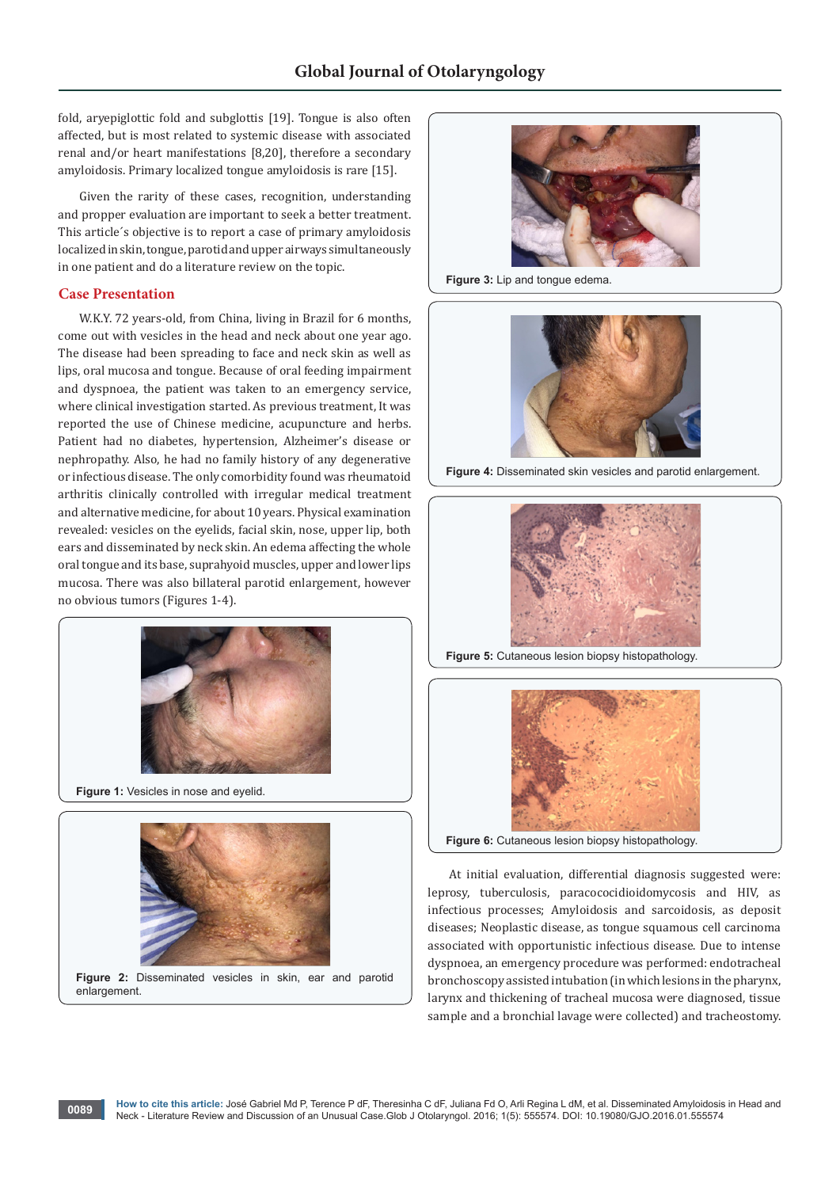fold, aryepiglottic fold and subglottis [19]. Tongue is also often affected, but is most related to systemic disease with associated renal and/or heart manifestations [8,20], therefore a secondary amyloidosis. Primary localized tongue amyloidosis is rare [15].

Given the rarity of these cases, recognition, understanding and propper evaluation are important to seek a better treatment. This article´s objective is to report a case of primary amyloidosis localized in skin, tongue, parotid and upper airways simultaneously in one patient and do a literature review on the topic.

# **Case Presentation**

W.K.Y. 72 years-old, from China, living in Brazil for 6 months, come out with vesicles in the head and neck about one year ago. The disease had been spreading to face and neck skin as well as lips, oral mucosa and tongue. Because of oral feeding impairment and dyspnoea, the patient was taken to an emergency service, where clinical investigation started. As previous treatment, It was reported the use of Chinese medicine, acupuncture and herbs. Patient had no diabetes, hypertension, Alzheimer's disease or nephropathy. Also, he had no family history of any degenerative or infectious disease. The only comorbidity found was rheumatoid arthritis clinically controlled with irregular medical treatment and alternative medicine, for about 10 years. Physical examination revealed: vesicles on the eyelids, facial skin, nose, upper lip, both ears and disseminated by neck skin. An edema affecting the whole oral tongue and its base, suprahyoid muscles, upper and lower lips mucosa. There was also billateral parotid enlargement, however no obvious tumors (Figures 1-4).



**Figure 1:** Vesicles in nose and eyelid.



**Figure 2:** Disseminated vesicles in skin, ear and parotid enlargement.



**Figure 3: Lip and tongue edema.** 



**Figure 4:** Disseminated skin vesicles and parotid enlargement.



**Figure 5:** Cutaneous lesion biopsy histopathology.



At initial evaluation, differential diagnosis suggested were: leprosy, tuberculosis, paracococidioidomycosis and HIV, as infectious processes; Amyloidosis and sarcoidosis, as deposit diseases; Neoplastic disease, as tongue squamous cell carcinoma associated with opportunistic infectious disease. Due to intense dyspnoea, an emergency procedure was performed: endotracheal bronchoscopy assisted intubation (in which lesions in the pharynx, larynx and thickening of tracheal mucosa were diagnosed, tissue sample and a bronchial lavage were collected) and tracheostomy.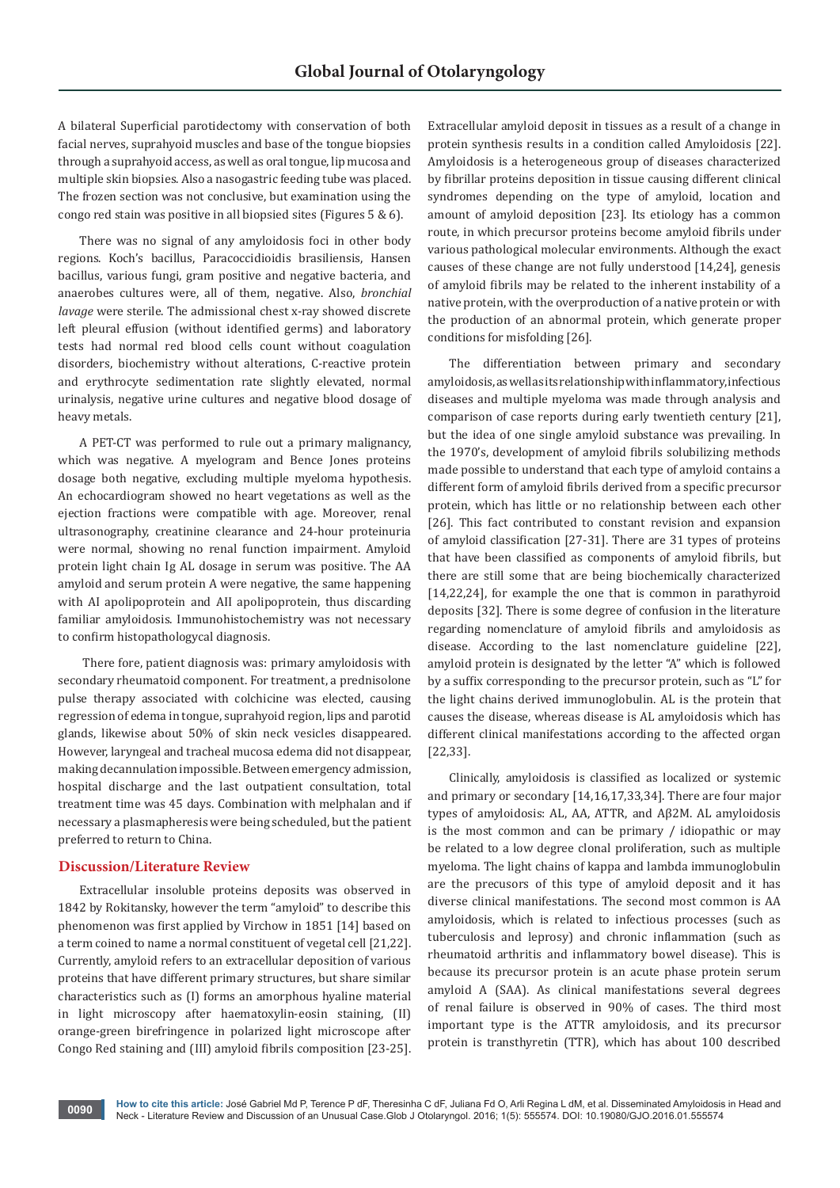A bilateral Superficial parotidectomy with conservation of both facial nerves, suprahyoid muscles and base of the tongue biopsies through a suprahyoid access, as well as oral tongue, lip mucosa and multiple skin biopsies. Also a nasogastric feeding tube was placed. The frozen section was not conclusive, but examination using the congo red stain was positive in all biopsied sites (Figures 5 & 6).

There was no signal of any amyloidosis foci in other body regions. Koch's bacillus, Paracoccidioidis brasiliensis, Hansen bacillus, various fungi, gram positive and negative bacteria, and anaerobes cultures were, all of them, negative. Also, *bronchial lavage* were sterile. The admissional chest x-ray showed discrete left pleural effusion (without identified germs) and laboratory tests had normal red blood cells count without coagulation disorders, biochemistry without alterations, C-reactive protein and erythrocyte sedimentation rate slightly elevated, normal urinalysis, negative urine cultures and negative blood dosage of heavy metals.

A PET-CT was performed to rule out a primary malignancy, which was negative. A myelogram and Bence Jones proteins dosage both negative, excluding multiple myeloma hypothesis. An echocardiogram showed no heart vegetations as well as the ejection fractions were compatible with age. Moreover, renal ultrasonography, creatinine clearance and 24-hour proteinuria were normal, showing no renal function impairment. Amyloid protein light chain Ig AL dosage in serum was positive. The AA amyloid and serum protein A were negative, the same happening with AI apolipoprotein and AII apolipoprotein, thus discarding familiar amyloidosis. Immunohistochemistry was not necessary to confirm histopathologycal diagnosis.

 There fore, patient diagnosis was: primary amyloidosis with secondary rheumatoid component. For treatment, a prednisolone pulse therapy associated with colchicine was elected, causing regression of edema in tongue, suprahyoid region, lips and parotid glands, likewise about 50% of skin neck vesicles disappeared. However, laryngeal and tracheal mucosa edema did not disappear, making decannulation impossible. Between emergency admission, hospital discharge and the last outpatient consultation, total treatment time was 45 days. Combination with melphalan and if necessary a plasmapheresis were being scheduled, but the patient preferred to return to China.

# **Discussion/Literature Review**

Extracellular insoluble proteins deposits was observed in 1842 by Rokitansky, however the term "amyloid" to describe this phenomenon was first applied by Virchow in 1851 [14] based on a term coined to name a normal constituent of vegetal cell [21,22]. Currently, amyloid refers to an extracellular deposition of various proteins that have different primary structures, but share similar characteristics such as (I) forms an amorphous hyaline material in light microscopy after haematoxylin-eosin staining, (II) orange-green birefringence in polarized light microscope after Congo Red staining and (III) amyloid fibrils composition [23-25].

Extracellular amyloid deposit in tissues as a result of a change in protein synthesis results in a condition called Amyloidosis [22]. Amyloidosis is a heterogeneous group of diseases characterized by fibrillar proteins deposition in tissue causing different clinical syndromes depending on the type of amyloid, location and amount of amyloid deposition [23]. Its etiology has a common route, in which precursor proteins become amyloid fibrils under various pathological molecular environments. Although the exact causes of these change are not fully understood [14,24], genesis of amyloid fibrils may be related to the inherent instability of a native protein, with the overproduction of a native protein or with the production of an abnormal protein, which generate proper conditions for misfolding [26].

The differentiation between primary and secondary amyloidosis, as well as its relationship with inflammatory, infectious diseases and multiple myeloma was made through analysis and comparison of case reports during early twentieth century [21], but the idea of one single amyloid substance was prevailing. In the 1970's, development of amyloid fibrils solubilizing methods made possible to understand that each type of amyloid contains a different form of amyloid fibrils derived from a specific precursor protein, which has little or no relationship between each other [26]. This fact contributed to constant revision and expansion of amyloid classification [27-31]. There are 31 types of proteins that have been classified as components of amyloid fibrils, but there are still some that are being biochemically characterized [14,22,24], for example the one that is common in parathyroid deposits [32]. There is some degree of confusion in the literature regarding nomenclature of amyloid fibrils and amyloidosis as disease. According to the last nomenclature guideline [22], amyloid protein is designated by the letter "A" which is followed by a suffix corresponding to the precursor protein, such as "L" for the light chains derived immunoglobulin. AL is the protein that causes the disease, whereas disease is AL amyloidosis which has different clinical manifestations according to the affected organ [22,33].

Clinically, amyloidosis is classified as localized or systemic and primary or secondary [14,16,17,33,34]. There are four major types of amyloidosis: AL, AA, ATTR, and Aβ2M. AL amyloidosis is the most common and can be primary / idiopathic or may be related to a low degree clonal proliferation, such as multiple myeloma. The light chains of kappa and lambda immunoglobulin are the precusors of this type of amyloid deposit and it has diverse clinical manifestations. The second most common is AA amyloidosis, which is related to infectious processes (such as tuberculosis and leprosy) and chronic inflammation (such as rheumatoid arthritis and inflammatory bowel disease). This is because its precursor protein is an acute phase protein serum amyloid A (SAA). As clinical manifestations several degrees of renal failure is observed in 90% of cases. The third most important type is the ATTR amyloidosis, and its precursor protein is transthyretin (TTR), which has about 100 described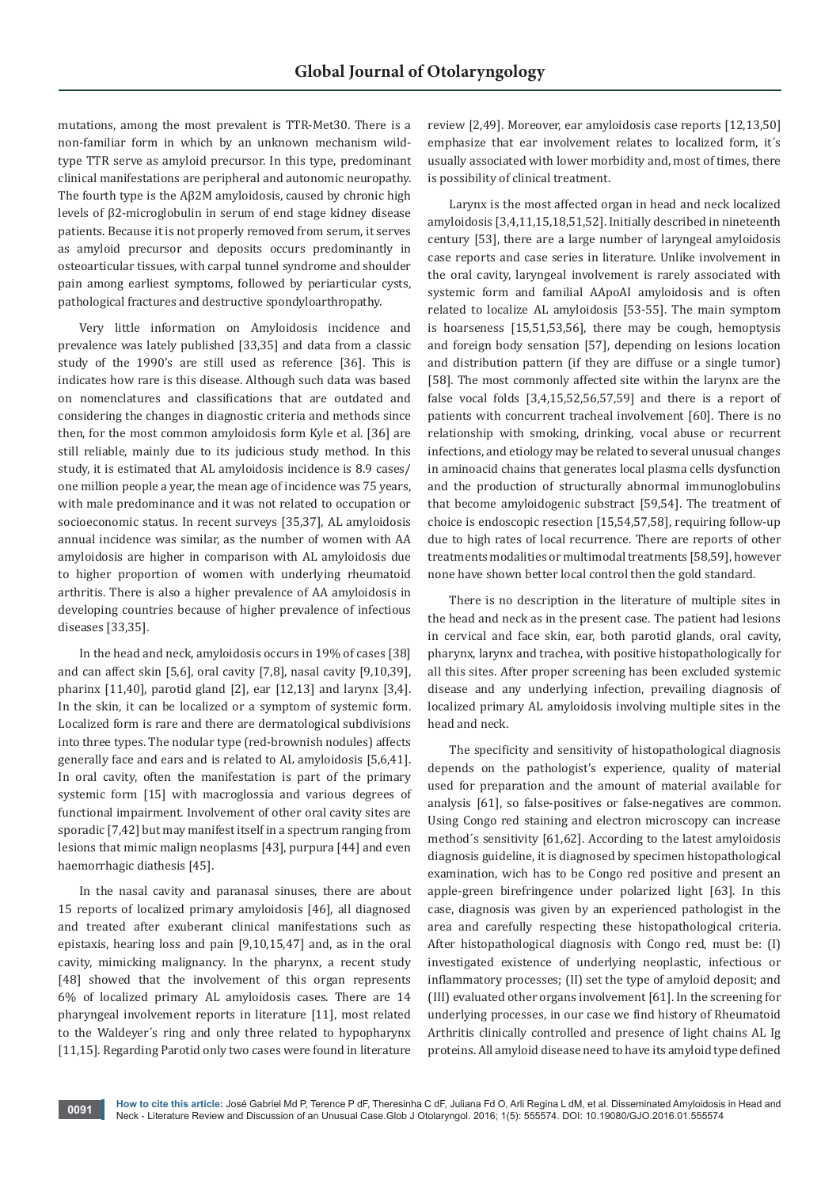mutations, among the most prevalent is TTR-Met30. There is a non-familiar form in which by an unknown mechanism wildtype TTR serve as amyloid precursor. In this type, predominant clinical manifestations are peripheral and autonomic neuropathy. The fourth type is the Aβ2M amyloidosis, caused by chronic high levels of β2-microglobulin in serum of end stage kidney disease patients. Because it is not properly removed from serum, it serves as amyloid precursor and deposits occurs predominantly in osteoarticular tissues, with carpal tunnel syndrome and shoulder pain among earliest symptoms, followed by periarticular cysts, pathological fractures and destructive spondyloarthropathy.

Very little information on Amyloidosis incidence and prevalence was lately published [33,35] and data from a classic study of the 1990's are still used as reference [36]. This is indicates how rare is this disease. Although such data was based on nomenclatures and classifications that are outdated and considering the changes in diagnostic criteria and methods since then, for the most common amyloidosis form Kyle et al. [36] are still reliable, mainly due to its judicious study method. In this study, it is estimated that AL amyloidosis incidence is 8.9 cases/ one million people a year, the mean age of incidence was 75 years, with male predominance and it was not related to occupation or socioeconomic status. In recent surveys [35,37], AL amyloidosis annual incidence was similar, as the number of women with AA amyloidosis are higher in comparison with AL amyloidosis due to higher proportion of women with underlying rheumatoid arthritis. There is also a higher prevalence of AA amyloidosis in developing countries because of higher prevalence of infectious diseases [33,35].

In the head and neck, amyloidosis occurs in 19% of cases [38] and can affect skin [5,6], oral cavity [7,8], nasal cavity [9,10,39], pharinx [11,40], parotid gland [2], ear [12,13] and larynx [3,4]. In the skin, it can be localized or a symptom of systemic form. Localized form is rare and there are dermatological subdivisions into three types. The nodular type (red-brownish nodules) affects generally face and ears and is related to AL amyloidosis [5,6,41]. In oral cavity, often the manifestation is part of the primary systemic form [15] with macroglossia and various degrees of functional impairment. Involvement of other oral cavity sites are sporadic [7,42] but may manifest itself in a spectrum ranging from lesions that mimic malign neoplasms [43], purpura [44] and even haemorrhagic diathesis [45].

In the nasal cavity and paranasal sinuses, there are about 15 reports of localized primary amyloidosis [46], all diagnosed and treated after exuberant clinical manifestations such as epistaxis, hearing loss and pain [9,10,15,47] and, as in the oral cavity, mimicking malignancy. In the pharynx, a recent study [48] showed that the involvement of this organ represents 6% of localized primary AL amyloidosis cases. There are 14 pharyngeal involvement reports in literature [11], most related to the Waldeyer´s ring and only three related to hypopharynx [11,15]. Regarding Parotid only two cases were found in literature

review [2,49]. Moreover, ear amyloidosis case reports [12,13,50] emphasize that ear involvement relates to localized form, it´s usually associated with lower morbidity and, most of times, there is possibility of clinical treatment.

Larynx is the most affected organ in head and neck localized amyloidosis [3,4,11,15,18,51,52]. Initially described in nineteenth century [53], there are a large number of laryngeal amyloidosis case reports and case series in literature. Unlike involvement in the oral cavity, laryngeal involvement is rarely associated with systemic form and familial AApoAI amyloidosis and is often related to localize AL amyloidosis [53-55]. The main symptom is hoarseness [15,51,53,56], there may be cough, hemoptysis and foreign body sensation [57], depending on lesions location and distribution pattern (if they are diffuse or a single tumor) [58]. The most commonly affected site within the larynx are the false vocal folds [3,4,15,52,56,57,59] and there is a report of patients with concurrent tracheal involvement [60]. There is no relationship with smoking, drinking, vocal abuse or recurrent infections, and etiology may be related to several unusual changes in aminoacid chains that generates local plasma cells dysfunction and the production of structurally abnormal immunoglobulins that become amyloidogenic substract [59,54]. The treatment of choice is endoscopic resection [15,54,57,58], requiring follow-up due to high rates of local recurrence. There are reports of other treatments modalities or multimodal treatments [58,59], however none have shown better local control then the gold standard.

There is no description in the literature of multiple sites in the head and neck as in the present case. The patient had lesions in cervical and face skin, ear, both parotid glands, oral cavity, pharynx, larynx and trachea, with positive histopathologically for all this sites. After proper screening has been excluded systemic disease and any underlying infection, prevailing diagnosis of localized primary AL amyloidosis involving multiple sites in the head and neck.

The specificity and sensitivity of histopathological diagnosis depends on the pathologist's experience, quality of material used for preparation and the amount of material available for analysis [61], so false-positives or false-negatives are common. Using Congo red staining and electron microscopy can increase method´s sensitivity [61,62]. According to the latest amyloidosis diagnosis guideline, it is diagnosed by specimen histopathological examination, wich has to be Congo red positive and present an apple-green birefringence under polarized light [63]. In this case, diagnosis was given by an experienced pathologist in the area and carefully respecting these histopathological criteria. After histopathological diagnosis with Congo red, must be: (I) investigated existence of underlying neoplastic, infectious or inflammatory processes; (II) set the type of amyloid deposit; and (III) evaluated other organs involvement [61]. In the screening for underlying processes, in our case we find history of Rheumatoid Arthritis clinically controlled and presence of light chains AL Ig proteins. All amyloid disease need to have its amyloid type defined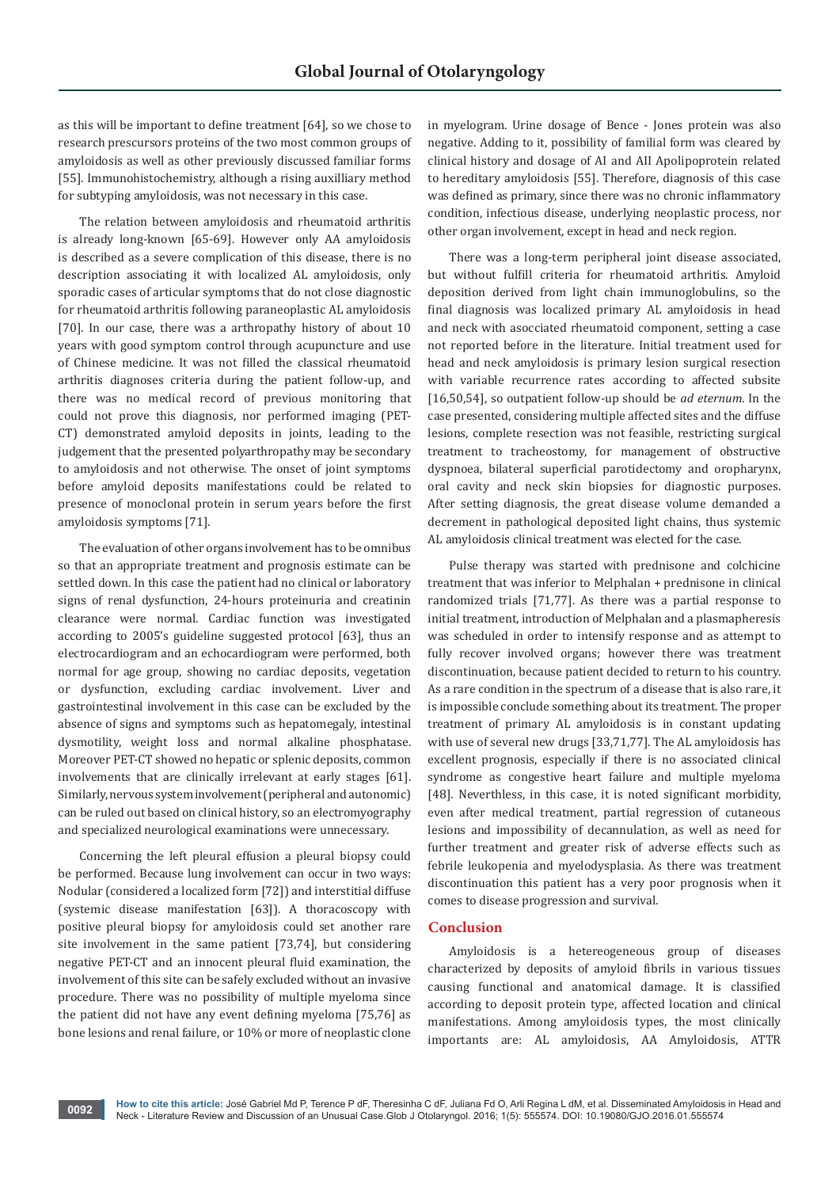as this will be important to define treatment [64], so we chose to research prescursors proteins of the two most common groups of amyloidosis as well as other previously discussed familiar forms [55]. Immunohistochemistry, although a rising auxilliary method for subtyping amyloidosis, was not necessary in this case.

The relation between amyloidosis and rheumatoid arthritis is already long-known [65-69]. However only AA amyloidosis is described as a severe complication of this disease, there is no description associating it with localized AL amyloidosis, only sporadic cases of articular symptoms that do not close diagnostic for rheumatoid arthritis following paraneoplastic AL amyloidosis [70]. In our case, there was a arthropathy history of about 10 years with good symptom control through acupuncture and use of Chinese medicine. It was not filled the classical rheumatoid arthritis diagnoses criteria during the patient follow-up, and there was no medical record of previous monitoring that could not prove this diagnosis, nor performed imaging (PET-CT) demonstrated amyloid deposits in joints, leading to the judgement that the presented polyarthropathy may be secondary to amyloidosis and not otherwise. The onset of joint symptoms before amyloid deposits manifestations could be related to presence of monoclonal protein in serum years before the first amyloidosis symptoms [71].

The evaluation of other organs involvement has to be omnibus so that an appropriate treatment and prognosis estimate can be settled down. In this case the patient had no clinical or laboratory signs of renal dysfunction, 24-hours proteinuria and creatinin clearance were normal. Cardiac function was investigated according to 2005's guideline suggested protocol [63], thus an electrocardiogram and an echocardiogram were performed, both normal for age group, showing no cardiac deposits, vegetation or dysfunction, excluding cardiac involvement. Liver and gastrointestinal involvement in this case can be excluded by the absence of signs and symptoms such as hepatomegaly, intestinal dysmotility, weight loss and normal alkaline phosphatase. Moreover PET-CT showed no hepatic or splenic deposits, common involvements that are clinically irrelevant at early stages [61]. Similarly, nervous system involvement (peripheral and autonomic) can be ruled out based on clinical history, so an electromyography and specialized neurological examinations were unnecessary.

Concerning the left pleural effusion a pleural biopsy could be performed. Because lung involvement can occur in two ways: Nodular (considered a localized form [72]) and interstitial diffuse (systemic disease manifestation [63]). A thoracoscopy with positive pleural biopsy for amyloidosis could set another rare site involvement in the same patient [73,74], but considering negative PET-CT and an innocent pleural fluid examination, the involvement of this site can be safely excluded without an invasive procedure. There was no possibility of multiple myeloma since the patient did not have any event defining myeloma [75,76] as bone lesions and renal failure, or 10% or more of neoplastic clone

in myelogram. Urine dosage of Bence - Jones protein was also negative. Adding to it, possibility of familial form was cleared by clinical history and dosage of AI and AII Apolipoprotein related to hereditary amyloidosis [55]. Therefore, diagnosis of this case was defined as primary, since there was no chronic inflammatory condition, infectious disease, underlying neoplastic process, nor other organ involvement, except in head and neck region.

There was a long-term peripheral joint disease associated, but without fulfill criteria for rheumatoid arthritis. Amyloid deposition derived from light chain immunoglobulins, so the final diagnosis was localized primary AL amyloidosis in head and neck with asocciated rheumatoid component, setting a case not reported before in the literature. Initial treatment used for head and neck amyloidosis is primary lesion surgical resection with variable recurrence rates according to affected subsite [16,50,54], so outpatient follow-up should be *ad eternum*. In the case presented, considering multiple affected sites and the diffuse lesions, complete resection was not feasible, restricting surgical treatment to tracheostomy, for management of obstructive dyspnoea, bilateral superficial parotidectomy and oropharynx, oral cavity and neck skin biopsies for diagnostic purposes. After setting diagnosis, the great disease volume demanded a decrement in pathological deposited light chains, thus systemic AL amyloidosis clinical treatment was elected for the case.

Pulse therapy was started with prednisone and colchicine treatment that was inferior to Melphalan + prednisone in clinical randomized trials [71,77]. As there was a partial response to initial treatment, introduction of Melphalan and a plasmapheresis was scheduled in order to intensify response and as attempt to fully recover involved organs; however there was treatment discontinuation, because patient decided to return to his country. As a rare condition in the spectrum of a disease that is also rare, it is impossible conclude something about its treatment. The proper treatment of primary AL amyloidosis is in constant updating with use of several new drugs [33,71,77]. The AL amyloidosis has excellent prognosis, especially if there is no associated clinical syndrome as congestive heart failure and multiple myeloma [48]. Neverthless, in this case, it is noted significant morbidity, even after medical treatment, partial regression of cutaneous lesions and impossibility of decannulation, as well as need for further treatment and greater risk of adverse effects such as febrile leukopenia and myelodysplasia. As there was treatment discontinuation this patient has a very poor prognosis when it comes to disease progression and survival.

# **Conclusion**

Amyloidosis is a hetereogeneous group of diseases characterized by deposits of amyloid fibrils in various tissues causing functional and anatomical damage. It is classified according to deposit protein type, affected location and clinical manifestations. Among amyloidosis types, the most clinically importants are: AL amyloidosis, AA Amyloidosis, ATTR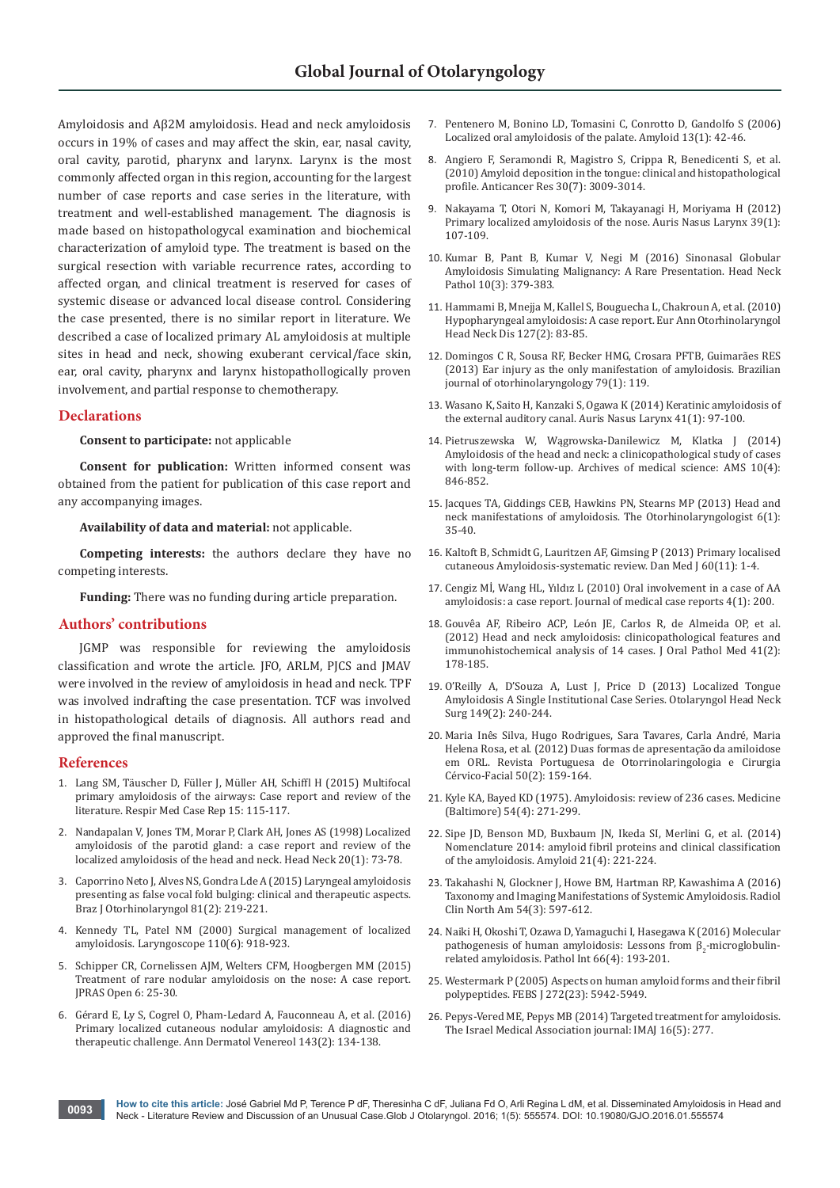Amyloidosis and Aβ2M amyloidosis. Head and neck amyloidosis occurs in 19% of cases and may affect the skin, ear, nasal cavity, oral cavity, parotid, pharynx and larynx. Larynx is the most commonly affected organ in this region, accounting for the largest number of case reports and case series in the literature, with treatment and well-established management. The diagnosis is made based on histopathologycal examination and biochemical characterization of amyloid type. The treatment is based on the surgical resection with variable recurrence rates, according to affected organ, and clinical treatment is reserved for cases of systemic disease or advanced local disease control. Considering the case presented, there is no similar report in literature. We described a case of localized primary AL amyloidosis at multiple sites in head and neck, showing exuberant cervical/face skin, ear, oral cavity, pharynx and larynx histopathollogically proven involvement, and partial response to chemotherapy.

#### **Declarations**

**Consent to participate:** not applicable

**Consent for publication:** Written informed consent was obtained from the patient for publication of this case report and any accompanying images.

**Availability of data and material:** not applicable.

**Competing interests:** the authors declare they have no competing interests.

**Funding:** There was no funding during article preparation.

#### **Authors' contributions**

JGMP was responsible for reviewing the amyloidosis classification and wrote the article. JFO, ARLM, PJCS and JMAV were involved in the review of amyloidosis in head and neck. TPF was involved indrafting the case presentation. TCF was involved in histopathological details of diagnosis. All authors read and approved the final manuscript.

#### **References**

- 1. [Lang SM, Täuscher D, Füller J, Müller AH, Schiffl H \(2015\) Multifocal](http://www.ncbi.nlm.nih.gov/pubmed/26236619)  [primary amyloidosis of the airways: Case report and review of the](http://www.ncbi.nlm.nih.gov/pubmed/26236619)  [literature. Respir Med Case Rep 15: 115-117.](http://www.ncbi.nlm.nih.gov/pubmed/26236619)
- 2. [Nandapalan V, Jones TM, Morar P, Clark AH, Jones AS \(1998\) Localized](http://www.ncbi.nlm.nih.gov/pubmed/9464956)  [amyloidosis of the parotid gland: a case report and review of the](http://www.ncbi.nlm.nih.gov/pubmed/9464956)  [localized amyloidosis of the head and neck. Head Neck 20\(1\): 73-78.](http://www.ncbi.nlm.nih.gov/pubmed/9464956)
- 3. [Caporrino Neto J, Alves NS, Gondra Lde A \(2015\) Laryngeal amyloidosis](http://www.ncbi.nlm.nih.gov/pubmed/25731952)  [presenting as false vocal fold bulging: clinical and therapeutic aspects.](http://www.ncbi.nlm.nih.gov/pubmed/25731952)  [Braz J Otorhinolaryngol 81\(2\): 219-221.](http://www.ncbi.nlm.nih.gov/pubmed/25731952)
- 4. [Kennedy TL, Patel NM \(2000\) Surgical management of localized](http://www.ncbi.nlm.nih.gov/pubmed/10852504)  [amyloidosis. Laryngoscope 110\(6\): 918-923.](http://www.ncbi.nlm.nih.gov/pubmed/10852504)
- 5. [Schipper CR, Cornelissen AJM, Welters CFM, Hoogbergen MM \(2015\)](http://www.sciencedirect.com/science/article/pii/S2352587815000406)  [Treatment of rare nodular amyloidosis on the nose: A case report.](http://www.sciencedirect.com/science/article/pii/S2352587815000406)  [JPRAS Open 6: 25-30.](http://www.sciencedirect.com/science/article/pii/S2352587815000406)
- 6. [Gérard E, Ly S, Cogrel O, Pham-Ledard A, Fauconneau A, et al. \(2016\)](http://www.ncbi.nlm.nih.gov/pubmed/26724842)  [Primary localized cutaneous nodular amyloidosis: A diagnostic and](http://www.ncbi.nlm.nih.gov/pubmed/26724842)  [therapeutic challenge. Ann Dermatol Venereol 143\(2\): 134-138.](http://www.ncbi.nlm.nih.gov/pubmed/26724842)
- 7. [Pentenero M, Bonino LD, Tomasini C, Conrotto D, Gandolfo S \(2006\)](http://www.ncbi.nlm.nih.gov/pubmed/16690500)  [Localized oral amyloidosis of the palate. Amyloid 13\(1\): 42-46.](http://www.ncbi.nlm.nih.gov/pubmed/16690500)
- 8. [Angiero F, Seramondi R, Magistro S, Crippa R, Benedicenti S, et al.](http://www.ncbi.nlm.nih.gov/pubmed/20683047)  [\(2010\) Amyloid deposition in the tongue: clinical and histopathological](http://www.ncbi.nlm.nih.gov/pubmed/20683047)  [profile. Anticancer Res 30\(7\): 3009-3014.](http://www.ncbi.nlm.nih.gov/pubmed/20683047)
- 9. [Nakayama T, Otori N, Komori M, Takayanagi H, Moriyama H \(2012\)](http://www.ncbi.nlm.nih.gov/pubmed/21571465)  [Primary localized amyloidosis of the nose. Auris Nasus Larynx 39\(1\):](http://www.ncbi.nlm.nih.gov/pubmed/21571465)  [107-109.](http://www.ncbi.nlm.nih.gov/pubmed/21571465)
- 10. [Kumar B, Pant B, Kumar V, Negi M \(2016\) Sinonasal Globular](http://www.ncbi.nlm.nih.gov/pubmed/26780770)  [Amyloidosis Simulating Malignancy: A Rare Presentation. Head Neck](http://www.ncbi.nlm.nih.gov/pubmed/26780770)  [Pathol 10\(3\): 379-383.](http://www.ncbi.nlm.nih.gov/pubmed/26780770)
- 11. [Hammami B, Mnejja M, Kallel S, Bouguecha L, Chakroun A, et al. \(2010\)](http://www.ncbi.nlm.nih.gov/pubmed/20822762)  [Hypopharyngeal amyloidosis: A case report. Eur Ann Otorhinolaryngol](http://www.ncbi.nlm.nih.gov/pubmed/20822762)  [Head Neck Dis 127\(2\): 83-85.](http://www.ncbi.nlm.nih.gov/pubmed/20822762)
- 12. [Domingos C R, Sousa RF, Becker HMG, Crosara PFTB, Guimarães RES](http://www.scielo.br/scielo.php?script=sci_arttext&pid=S1808-86942013000100020&lng=en&nrm=iso&tlng=en)  [\(2013\) Ear injury as the only manifestation of amyloidosis. Brazilian](http://www.scielo.br/scielo.php?script=sci_arttext&pid=S1808-86942013000100020&lng=en&nrm=iso&tlng=en)  [journal of otorhinolaryngology 79\(1\): 119.](http://www.scielo.br/scielo.php?script=sci_arttext&pid=S1808-86942013000100020&lng=en&nrm=iso&tlng=en)
- 13. [Wasano K, Saito H, Kanzaki S, Ogawa K \(2014\) Keratinic amyloidosis of](http://www.ncbi.nlm.nih.gov/pubmed/23706305)  [the external auditory canal. Auris Nasus Larynx 41\(1\): 97-100.](http://www.ncbi.nlm.nih.gov/pubmed/23706305)
- 14. [Pietruszewska W, Wągrowska-Danilewicz M, Klatka J \(2014\)](http://www.termedia.pl/Journal/-19/Streszczenie-21875)  [Amyloidosis of the head and neck: a clinicopathological study of cases](http://www.termedia.pl/Journal/-19/Streszczenie-21875)  [with long-term follow-up. Archives of medical science: AMS 10\(4\):](http://www.termedia.pl/Journal/-19/Streszczenie-21875)  [846-852.](http://www.termedia.pl/Journal/-19/Streszczenie-21875)
- 15. [Jacques TA, Giddings CEB, Hawkins PN, Stearns MP \(2013\) Head and](http://www.theotorhinolaryngologist.co.uk/new/images/pdf/v6_n1/Head%20and%20neck%20manifestations%20of%20amyloidosis.pdf)  [neck manifestations of amyloidosis. The Otorhinolaryngologist 6\(1\):](http://www.theotorhinolaryngologist.co.uk/new/images/pdf/v6_n1/Head%20and%20neck%20manifestations%20of%20amyloidosis.pdf)  [35-40.](http://www.theotorhinolaryngologist.co.uk/new/images/pdf/v6_n1/Head%20and%20neck%20manifestations%20of%20amyloidosis.pdf)
- 16. [Kaltoft B, Schmidt G, Lauritzen AF, Gimsing P \(2013\) Primary localised](http://www.ncbi.nlm.nih.gov/pubmed/24192243)  [cutaneous Amyloidosis-systematic review. Dan Med J 60\(11\): 1-4.](http://www.ncbi.nlm.nih.gov/pubmed/24192243)
- 17. [Cengiz Mİ, Wang HL, Yıldız L \(2010\) Oral involvement in a case of AA](http://www.ncbi.nlm.nih.gov/pmc/articles/PMC2911467/)  [amyloidosis: a case report. Journal of medical case reports 4\(1\): 200.](http://www.ncbi.nlm.nih.gov/pmc/articles/PMC2911467/)
- 18. [Gouvêa AF, Ribeiro ACP, León JE, Carlos R, de Almeida OP, et al.](http://www.ncbi.nlm.nih.gov/pubmed/21883489)  [\(2012\) Head and neck amyloidosis: clinicopathological features and](http://www.ncbi.nlm.nih.gov/pubmed/21883489)  [immunohistochemical analysis of 14 cases. J Oral Pathol Med 41\(2\):](http://www.ncbi.nlm.nih.gov/pubmed/21883489)  [178-185.](http://www.ncbi.nlm.nih.gov/pubmed/21883489)
- 19. [O'Reilly A, D'Souza A, Lust J, Price D \(2013\) Localized Tongue](http://www.ncbi.nlm.nih.gov/pubmed/23715681)  [Amyloidosis A Single Institutional Case Series. Otolaryngol Head Neck](http://www.ncbi.nlm.nih.gov/pubmed/23715681)  [Surg 149\(2\): 240-244.](http://www.ncbi.nlm.nih.gov/pubmed/23715681)
- 20. [Maria Inês Silva, Hugo Rodrigues, Sara Tavares, Carla André, Maria](http://www.journalsporl.com/index.php/sporl/article/viewFile/94/94)  [Helena Rosa, et al. \(2012\) Duas formas de apresentação da amiloidose](http://www.journalsporl.com/index.php/sporl/article/viewFile/94/94)  [em ORL. Revista Portuguesa de Otorrinolaringologia e Cirurgia](http://www.journalsporl.com/index.php/sporl/article/viewFile/94/94)  [Cérvico-Facial 50\(2\): 159-164.](http://www.journalsporl.com/index.php/sporl/article/viewFile/94/94)
- 21. [Kyle KA, Bayed KD \(1975\). Amyloidosis: review of 236 cases. Medicine](http://www.ncbi.nlm.nih.gov/pubmed/1152671)  [\(Baltimore\) 54\(4\): 271-299.](http://www.ncbi.nlm.nih.gov/pubmed/1152671)
- 22. [Sipe JD, Benson MD, Buxbaum JN, Ikeda SI, Merlini G, et al. \(2014\)](http://www.ncbi.nlm.nih.gov/pubmed/25263598)  [Nomenclature 2014: amyloid fibril proteins and clinical classification](http://www.ncbi.nlm.nih.gov/pubmed/25263598)  [of the amyloidosis. Amyloid 21\(4\): 221-224.](http://www.ncbi.nlm.nih.gov/pubmed/25263598)
- 23. [Takahashi N, Glockner J, Howe BM, Hartman RP, Kawashima A \(2016\)](http://www.ncbi.nlm.nih.gov/pubmed/27153791)  [Taxonomy and Imaging Manifestations of Systemic Amyloidosis. Radiol](http://www.ncbi.nlm.nih.gov/pubmed/27153791)  [Clin North Am 54\(3\): 597-612.](http://www.ncbi.nlm.nih.gov/pubmed/27153791)
- 24. [Naiki H, Okoshi T, Ozawa D, Yamaguchi I, Hasegawa K \(2016\) Molecular](http://www.ncbi.nlm.nih.gov/pubmed/26969800)  pathogenesis of human amyloidosis: Lessons from  $\beta_2$ -microglobulin[related amyloidosis. Pathol Int 66\(4\): 193-201.](http://www.ncbi.nlm.nih.gov/pubmed/26969800)
- 25. [Westermark P \(2005\) Aspects on human amyloid forms and their fibril](http://www.ncbi.nlm.nih.gov/pubmed/16302959)  [polypeptides. FEBS J 272\(23\): 5942-5949.](http://www.ncbi.nlm.nih.gov/pubmed/16302959)
- 26. [Pepys-Vered ME, Pepys MB \(2014\) Targeted treatment for amyloidosis.](http://www.ima.org.il/imaj/ViewArticle.aspx?aId=3409)  [The Israel Medical Association journal: IMAJ 16\(5\): 277.](http://www.ima.org.il/imaj/ViewArticle.aspx?aId=3409)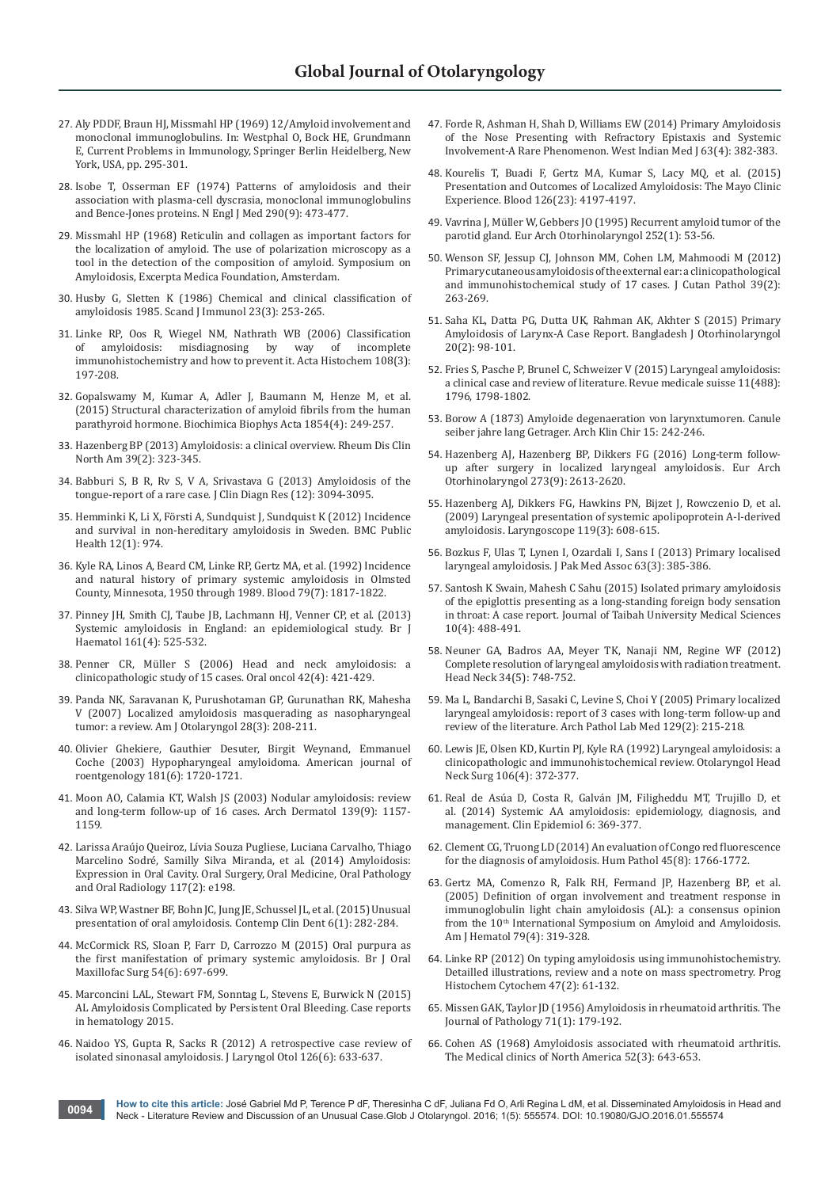- 27. [Aly PDDF, Braun HJ, Missmahl HP \(1969\) 12/Amyloid involvement and](http://link.springer.com/book/10.1007/978-3-642-49733-9)  [monoclonal immunoglobulins. In: Westphal O, Bock HE, Grundmann](http://link.springer.com/book/10.1007/978-3-642-49733-9)  [E, Current Problems in Immunology, Springer Berlin Heidelberg, New](http://link.springer.com/book/10.1007/978-3-642-49733-9)  [York, USA, pp. 295-301.](http://link.springer.com/book/10.1007/978-3-642-49733-9)
- 28. [Isobe T, Osserman EF \(1974\) Patterns of amyloidosis and their](http://www.ncbi.nlm.nih.gov/pubmed/4204196)  [association with plasma-cell dyscrasia, monoclonal immunoglobulins](http://www.ncbi.nlm.nih.gov/pubmed/4204196)  [and Bence-Jones proteins. N Engl J Med 290\(9\): 473-477.](http://www.ncbi.nlm.nih.gov/pubmed/4204196)
- 29. Missmahl HP (1968) Reticulin and collagen as important factors for the localization of amyloid. The use of polarization microscopy as a tool in the detection of the composition of amyloid. Symposium on Amyloidosis, Excerpta Medica Foundation, Amsterdam.
- 30. [Husby G, Sletten K \(1986\) Chemical and clinical classification of](http://www.ncbi.nlm.nih.gov/pubmed/3082001)  [amyloidosis 1985. Scand J Immunol 23\(3\): 253-265.](http://www.ncbi.nlm.nih.gov/pubmed/3082001)
- 31. [Linke RP, Oos R, Wiegel NM, Nathrath WB \(2006\) Classification](http://www.ncbi.nlm.nih.gov/pubmed/16790262)  misdiagnosing by way [immunohistochemistry and how to prevent it. Acta Histochem 108\(3\):](http://www.ncbi.nlm.nih.gov/pubmed/16790262)  [197-208.](http://www.ncbi.nlm.nih.gov/pubmed/16790262)
- 32. [Gopalswamy M, Kumar A, Adler J, Baumann M, Henze M, et al.](http://www.ncbi.nlm.nih.gov/pubmed/25554227)  [\(2015\) Structural characterization of amyloid fibrils from the human](http://www.ncbi.nlm.nih.gov/pubmed/25554227)  [parathyroid hormone. Biochimica Biophys Acta 1854\(4\): 249-257.](http://www.ncbi.nlm.nih.gov/pubmed/25554227)
- 33. [Hazenberg BP \(2013\) Amyloidosis: a clinical overview. Rheum Dis Clin](http://www.ncbi.nlm.nih.gov/pubmed/23597967)  [North Am 39\(2\): 323-345.](http://www.ncbi.nlm.nih.gov/pubmed/23597967)
- 34. [Babburi S, B R, Rv S, V A, Srivastava G \(2013\) Amyloidosis of the](http://www.ncbi.nlm.nih.gov/pubmed/24551740)  [tongue-report of a rare case. J Clin Diagn Res \(12\): 3094-3095.](http://www.ncbi.nlm.nih.gov/pubmed/24551740)
- 35. [Hemminki K, Li X, Försti A, Sundquist J, Sundquist K \(2012\) Incidence](http://www.ncbi.nlm.nih.gov/pubmed/23148499)  [and survival in non-hereditary amyloidosis in Sweden. BMC Public](http://www.ncbi.nlm.nih.gov/pubmed/23148499)  [Health 12\(1\): 974.](http://www.ncbi.nlm.nih.gov/pubmed/23148499)
- 36. [Kyle RA, Linos A, Beard CM, Linke RP, Gertz MA, et al. \(1992\) Incidence](http://www.ncbi.nlm.nih.gov/pubmed/1558973)  [and natural history of primary systemic amyloidosis in Olmsted](http://www.ncbi.nlm.nih.gov/pubmed/1558973)  [County, Minnesota, 1950 through 1989. Blood 79\(7\): 1817-1822.](http://www.ncbi.nlm.nih.gov/pubmed/1558973)
- 37. [Pinney JH, Smith CJ, Taube JB, Lachmann HJ, Venner CP, et al. \(2013\)](http://www.ncbi.nlm.nih.gov/pubmed/23480608)  [Systemic amyloidosis in England: an epidemiological study. Br J](http://www.ncbi.nlm.nih.gov/pubmed/23480608)  [Haematol 161\(4\): 525-532.](http://www.ncbi.nlm.nih.gov/pubmed/23480608)
- 38. [Penner CR, Müller S \(2006\) Head and neck amyloidosis: a](http://www.ncbi.nlm.nih.gov/pubmed/16488655)  [clinicopathologic study of 15 cases. Oral oncol 42\(4\): 421-429.](http://www.ncbi.nlm.nih.gov/pubmed/16488655)
- 39. [Panda NK, Saravanan K, Purushotaman GP, Gurunathan RK, Mahesha](http://www.ncbi.nlm.nih.gov/pubmed/17499143)  [V \(2007\) Localized amyloidosis masquerading as nasopharyngeal](http://www.ncbi.nlm.nih.gov/pubmed/17499143)  [tumor: a review. Am J Otolaryngol 28\(3\): 208-211.](http://www.ncbi.nlm.nih.gov/pubmed/17499143)
- 40. [Olivier Ghekiere, Gauthier Desuter, Birgit Weynand, Emmanuel](http://www.ajronline.org/doi/full/10.2214/ajr.181.6.1811720)  [Coche \(2003\) Hypopharyngeal amyloidoma. American journal of](http://www.ajronline.org/doi/full/10.2214/ajr.181.6.1811720)  [roentgenology 181\(6\): 1720-1721.](http://www.ajronline.org/doi/full/10.2214/ajr.181.6.1811720)
- 41. [Moon AO, Calamia KT, Walsh JS \(2003\) Nodular amyloidosis: review](http://www.ncbi.nlm.nih.gov/pubmed/12975157)  [and long-term follow-up of 16 cases. Arch Dermatol 139\(9\): 1157-](http://www.ncbi.nlm.nih.gov/pubmed/12975157) [1159.](http://www.ncbi.nlm.nih.gov/pubmed/12975157)
- 42. [Larissa Araújo Queiroz, Lívia Souza Pugliese, Luciana Carvalho, Thiago](http://www.oooojournal.net/article/S2212-4403(13)01940-8/abstract)  [Marcelino Sodré, Samilly Silva Miranda, et al. \(2014\) Amyloidosis:](http://www.oooojournal.net/article/S2212-4403(13)01940-8/abstract)  [Expression in Oral Cavity. Oral Surgery, Oral Medicine, Oral Pathology](http://www.oooojournal.net/article/S2212-4403(13)01940-8/abstract)  [and Oral Radiology 117\(2\): e198.](http://www.oooojournal.net/article/S2212-4403(13)01940-8/abstract)
- 43. [Silva WP, Wastner BF, Bohn JC, Jung JE, Schussel JL, et al. \(2015\) Unusual](http://www.ncbi.nlm.nih.gov/pubmed/26604589)  [presentation of oral amyloidosis. Contemp Clin Dent 6\(1\): 282-284.](http://www.ncbi.nlm.nih.gov/pubmed/26604589)
- 44. [McCormick RS, Sloan P, Farr D, Carrozzo M \(2015\) Oral purpura as](http://www.ncbi.nlm.nih.gov/pubmed/26708800)  [the first manifestation of primary systemic amyloidosis. Br J Oral](http://www.ncbi.nlm.nih.gov/pubmed/26708800)  [Maxillofac Surg 54\(6\): 697-699.](http://www.ncbi.nlm.nih.gov/pubmed/26708800)
- 45. [Marconcini LAL, Stewart FM, Sonntag L, Stevens E, Burwick N \(2015\)](http://www.hindawi.com/journals/crihem/2015/981346/)  [AL Amyloidosis Complicated by Persistent Oral Bleeding. Case reports](http://www.hindawi.com/journals/crihem/2015/981346/)  [in hematology 2015.](http://www.hindawi.com/journals/crihem/2015/981346/)
- 46. [Naidoo YS, Gupta R, Sacks R \(2012\) A retrospective case review of](http://www.ncbi.nlm.nih.gov/pubmed/22494495)  [isolated sinonasal amyloidosis. J Laryngol Otol 126\(6\): 633-637.](http://www.ncbi.nlm.nih.gov/pubmed/22494495)
- 47. [Forde R, Ashman H, Shah D, Williams EW \(2014\) Primary Amyloidosis](http://www.ncbi.nlm.nih.gov/pubmed/25429468)  [of the Nose Presenting with Refractory Epistaxis and Systemic](http://www.ncbi.nlm.nih.gov/pubmed/25429468)  [Involvement-A Rare Phenomenon. West Indian Med J 63\(4\): 382-383.](http://www.ncbi.nlm.nih.gov/pubmed/25429468)
- 48. [Kourelis T, Buadi F, Gertz MA, Kumar S, Lacy MQ, et al. \(2015\)](http://www.bloodjournal.org/content/126/23/4197?sso-checked=true)  [Presentation and Outcomes of Localized Amyloidosis: The Mayo Clinic](http://www.bloodjournal.org/content/126/23/4197?sso-checked=true)  [Experience. Blood 126\(23\): 4197-4197.](http://www.bloodjournal.org/content/126/23/4197?sso-checked=true)
- 49. [Vavrina J, Müller W, Gebbers JO \(1995\) Recurrent amyloid tumor of the](http://www.ncbi.nlm.nih.gov/pubmed/7536425)  [parotid gland. Eur Arch Otorhinolaryngol 252\(1\): 53-56.](http://www.ncbi.nlm.nih.gov/pubmed/7536425)
- 50. [Wenson SF, Jessup CJ, Johnson MM, Cohen LM, Mahmoodi M \(2012\)](http://www.ncbi.nlm.nih.gov/pubmed/22077601)  [Primary cutaneous amyloidosis of the external ear: a clinicopathological](http://www.ncbi.nlm.nih.gov/pubmed/22077601)  [and immunohistochemical study of 17 cases. J Cutan Pathol 39\(2\):](http://www.ncbi.nlm.nih.gov/pubmed/22077601)  [263-269.](http://www.ncbi.nlm.nih.gov/pubmed/22077601)
- 51. [Saha KL, Datta PG, Dutta UK, Rahman AK, Akhter S \(2015\) Primary](http://www.banglajol.info/index.php/BJO/article/viewFile/22026/15128)  [Amyloidosis of Larynx-A Case Report. Bangladesh J Otorhinolaryngol](http://www.banglajol.info/index.php/BJO/article/viewFile/22026/15128)  [20\(2\): 98-101.](http://www.banglajol.info/index.php/BJO/article/viewFile/22026/15128)
- 52. [Fries S, Pasche P, Brunel C, Schweizer V \(2015\) Laryngeal amyloidosis:](http://www.ncbi.nlm.nih.gov/pubmed/26619702)  [a clinical case and review of literature. Revue medicale suisse 11\(488\):](http://www.ncbi.nlm.nih.gov/pubmed/26619702)  [1796, 1798-1802.](http://www.ncbi.nlm.nih.gov/pubmed/26619702)
- 53. Borow A (1873) Amyloide degenaeration von larynxtumoren. Canule seiber jahre lang Getrager. Arch Klin Chir 15: 242-246.
- 54. [Hazenberg AJ, Hazenberg BP, Dikkers FG \(2016\) Long-term follow](http://www.ncbi.nlm.nih.gov/pubmed/27156084)[up after surgery in localized laryngeal amyloidosis. Eur Arch](http://www.ncbi.nlm.nih.gov/pubmed/27156084)  [Otorhinolaryngol 273\(9\): 2613-2620.](http://www.ncbi.nlm.nih.gov/pubmed/27156084)
- 55. [Hazenberg AJ, Dikkers FG, Hawkins PN, Bijzet J, Rowczenio D, et al.](http://www.ncbi.nlm.nih.gov/pubmed/19235761)  [\(2009\) Laryngeal presentation of systemic apolipoprotein A-I-derived](http://www.ncbi.nlm.nih.gov/pubmed/19235761)  [amyloidosis. Laryngoscope 119\(3\): 608-615.](http://www.ncbi.nlm.nih.gov/pubmed/19235761)
- 56. [Bozkus F, Ulas T, Lynen I, Ozardali I, Sans I \(2013\) Primary localised](http://www.ncbi.nlm.nih.gov/pubmed/23914645)  [laryngeal amyloidosis. J Pak Med Assoc 63\(3\): 385-386.](http://www.ncbi.nlm.nih.gov/pubmed/23914645)
- 57. [Santosh K Swain, Mahesh C Sahu \(2015\) Isolated primary amyloidosis](http://www.sciencedirect.com/science/article/pii/S1658361215001055)  [of the epiglottis presenting as a long-standing foreign body sensation](http://www.sciencedirect.com/science/article/pii/S1658361215001055)  [in throat: A case report. Journal of Taibah University Medical Sciences](http://www.sciencedirect.com/science/article/pii/S1658361215001055)  [10\(4\): 488-491.](http://www.sciencedirect.com/science/article/pii/S1658361215001055)
- 58. [Neuner GA, Badros AA, Meyer TK, Nanaji NM, Regine WF \(2012\)](http://www.ncbi.nlm.nih.gov/pubmed/22488785)  [Complete resolution of laryngeal amyloidosis with radiation treatment.](http://www.ncbi.nlm.nih.gov/pubmed/22488785)  [Head Neck 34\(5\): 748-752.](http://www.ncbi.nlm.nih.gov/pubmed/22488785)
- 59. [Ma L, Bandarchi B, Sasaki C, Levine S, Choi Y \(2005\) Primary localized](http://www.ncbi.nlm.nih.gov/pubmed/22488785)  [laryngeal amyloidosis: report of 3 cases with long-term follow-up and](http://www.ncbi.nlm.nih.gov/pubmed/22488785)  [review of the literature. Arch Pathol Lab Med 129\(2\): 215-218.](http://www.ncbi.nlm.nih.gov/pubmed/22488785)
- 60. [Lewis JE, Olsen KD, Kurtin PJ, Kyle RA \(1992\) Laryngeal amyloidosis: a](http://www.ncbi.nlm.nih.gov/pubmed/1565488)  [clinicopathologic and immunohistochemical review. Otolaryngol Head](http://www.ncbi.nlm.nih.gov/pubmed/1565488)  [Neck Surg 106\(4\): 372-377.](http://www.ncbi.nlm.nih.gov/pubmed/1565488)
- 61. [Real de Asúa D, Costa R, Galván JM, Filigheddu MT, Trujillo D, et](http://www.ncbi.nlm.nih.gov/pubmed/25378951)  [al. \(2014\) Systemic AA amyloidosis: epidemiology, diagnosis, and](http://www.ncbi.nlm.nih.gov/pubmed/25378951)  [management. Clin Epidemiol 6: 369-377.](http://www.ncbi.nlm.nih.gov/pubmed/25378951)
- 62. [Clement CG, Truong LD \(2014\) An evaluation of Congo red fluorescence](http://www.ncbi.nlm.nih.gov/pubmed/24935061)  [for the diagnosis of amyloidosis. Hum Pathol 45\(8\): 1766-1772.](http://www.ncbi.nlm.nih.gov/pubmed/24935061)
- 63. [Gertz MA, Comenzo R, Falk RH, Fermand JP, Hazenberg BP, et al.](http://www.ncbi.nlm.nih.gov/pubmed/16044444)  [\(2005\) Definition of organ involvement and treatment response in](http://www.ncbi.nlm.nih.gov/pubmed/16044444)  [immunoglobulin light chain amyloidosis \(AL\): a consensus opinion](http://www.ncbi.nlm.nih.gov/pubmed/16044444)  from the 10<sup>th</sup> International Symposium on Amyloid and Amyloidosis. [Am J Hematol 79\(4\): 319-328.](http://www.ncbi.nlm.nih.gov/pubmed/16044444)
- 64. [Linke RP \(2012\) On typing amyloidosis using immunohistochemistry.](http://www.ncbi.nlm.nih.gov/pubmed/22819384)  [Detailled illustrations, review and a note on mass spectrometry. Prog](http://www.ncbi.nlm.nih.gov/pubmed/22819384)  [Histochem Cytochem 47\(2\): 61-132.](http://www.ncbi.nlm.nih.gov/pubmed/22819384)
- 65. [Missen GAK, Taylor JD \(1956\) Amyloidosis in rheumatoid arthritis. The](http://onlinelibrary.wiley.com/doi/10.1002/path.1700710124/full)  [Journal of Pathology 71\(1\): 179-192.](http://onlinelibrary.wiley.com/doi/10.1002/path.1700710124/full)
- 66. Cohen AS (1968) Amyloidosis associated with rheumatoid arthritis. The Medical clinics of North America 52(3): 643-653.